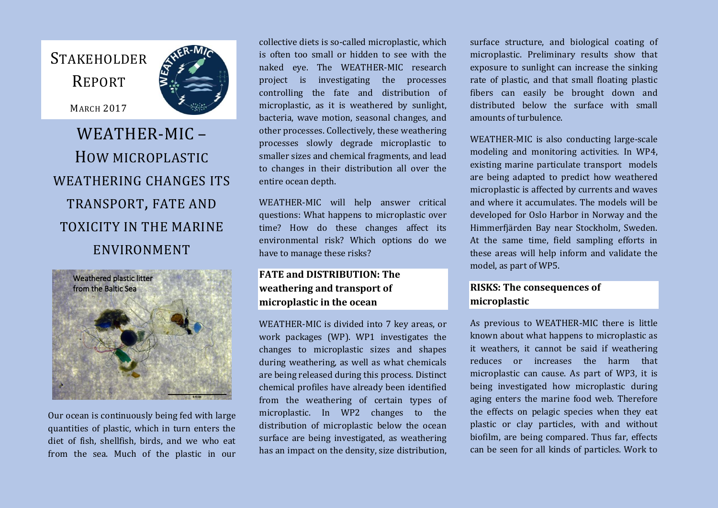## **STAKEHOLDER** REPORT

MARCH 2017

# WEATHER-MIC – HOW MICROPLASTIC WEATHERING CHANGES ITS TRANSPORT, FATE AND TOXICITY IN THE MARINE ENVIRONMENT



Our ocean is continuously being fed with large quantities of plastic, which in turn enters the diet of fish, shellfish, birds, and we who eat from the sea. Much of the plastic in our

collective diets is so-called microplastic, which is often too small or hidden to see with the naked eye. The WEATHER-MIC research project is investigating the processes controlling the fate and distribution of microplastic, as it is weathered by sunlight, bacteria, wave motion, seasonal changes, and other processes. Collectively, these weathering processes slowly degrade microplastic to smaller sizes and chemical fragments, and lead to changes in their distribution all over the entire ocean depth.

WEATHER-MIC will help answer critical questions: What happens to microplastic over time? How do these changes affect its environmental risk? Which options do we have to manage these risks?

### **FATE and DISTRIBUTION: The weathering and transport of microplastic in the ocean**

WEATHER-MIC is divided into 7 key areas, or work packages (WP). WP1 investigates the changes to microplastic sizes and shapes during weathering, as well as what chemicals are being released during this process. Distinct chemical profiles have already been identified from the weathering of certain types of microplastic. In WP2 changes to the distribution of microplastic below the ocean surface are being investigated, as weathering has an impact on the density, size distribution,

surface structure, and biological coating of microplastic. Preliminary results show that exposure to sunlight can increase the sinking rate of plastic, and that small floating plastic fibers can easily be brought down and distributed below the surface with small amounts of turbulence.

WEATHER-MIC is also conducting large-scale modeling and monitoring activities. In WP4, existing marine particulate transport models are being adapted to predict how weathered microplastic is affected by currents and waves and where it accumulates. The models will be developed for Oslo Harbor in Norway and the Himmerfjärden Bay near Stockholm, Sweden. At the same time, field sampling efforts in these areas will help inform and validate the model, as part of WP5.

### **RISKS: The consequences of microplastic**

As previous to WEATHER-MIC there is little known about what happens to microplastic as it weathers, it cannot be said if weathering reduces or increases the harm that microplastic can cause. As part of WP3, it is being investigated how microplastic during aging enters the marine food web. Therefore the effects on pelagic species when they eat plastic or clay particles, with and without biofilm, are being compared. Thus far, effects can be seen for all kinds of particles. Work to